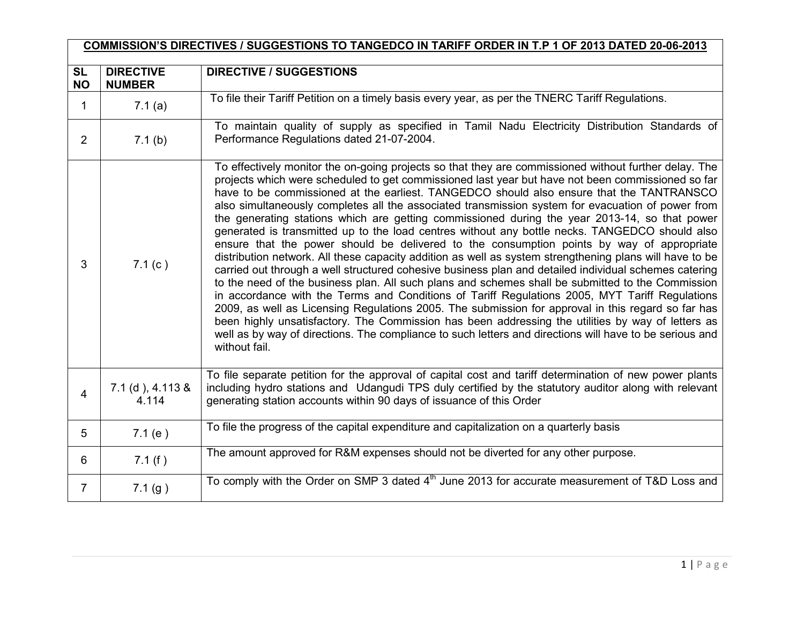| COMMISSION'S DIRECTIVES / SUGGESTIONS TO TANGEDCO IN TARIFF ORDER IN T.P 1 OF 2013 DATED 20-06-2013 |                                   |                                                                                                                                                                                                                                                                                                                                                                                                                                                                                                                                                                                                                                                                                                                                                                                                                                                                                                                                                                                                                                                                                                                                                                                                                                                                                                                                                                                                                                                                               |  |  |  |
|-----------------------------------------------------------------------------------------------------|-----------------------------------|-------------------------------------------------------------------------------------------------------------------------------------------------------------------------------------------------------------------------------------------------------------------------------------------------------------------------------------------------------------------------------------------------------------------------------------------------------------------------------------------------------------------------------------------------------------------------------------------------------------------------------------------------------------------------------------------------------------------------------------------------------------------------------------------------------------------------------------------------------------------------------------------------------------------------------------------------------------------------------------------------------------------------------------------------------------------------------------------------------------------------------------------------------------------------------------------------------------------------------------------------------------------------------------------------------------------------------------------------------------------------------------------------------------------------------------------------------------------------------|--|--|--|
| <b>SL</b><br><b>NO</b>                                                                              | <b>DIRECTIVE</b><br><b>NUMBER</b> | <b>DIRECTIVE / SUGGESTIONS</b>                                                                                                                                                                                                                                                                                                                                                                                                                                                                                                                                                                                                                                                                                                                                                                                                                                                                                                                                                                                                                                                                                                                                                                                                                                                                                                                                                                                                                                                |  |  |  |
| 1                                                                                                   | 7.1(a)                            | To file their Tariff Petition on a timely basis every year, as per the TNERC Tariff Regulations.                                                                                                                                                                                                                                                                                                                                                                                                                                                                                                                                                                                                                                                                                                                                                                                                                                                                                                                                                                                                                                                                                                                                                                                                                                                                                                                                                                              |  |  |  |
| 2                                                                                                   | 7.1(b)                            | To maintain quality of supply as specified in Tamil Nadu Electricity Distribution Standards of<br>Performance Regulations dated 21-07-2004.                                                                                                                                                                                                                                                                                                                                                                                                                                                                                                                                                                                                                                                                                                                                                                                                                                                                                                                                                                                                                                                                                                                                                                                                                                                                                                                                   |  |  |  |
| 3                                                                                                   | 7.1(c)                            | To effectively monitor the on-going projects so that they are commissioned without further delay. The<br>projects which were scheduled to get commissioned last year but have not been commissioned so far<br>have to be commissioned at the earliest. TANGEDCO should also ensure that the TANTRANSCO<br>also simultaneously completes all the associated transmission system for evacuation of power from<br>the generating stations which are getting commissioned during the year 2013-14, so that power<br>generated is transmitted up to the load centres without any bottle necks. TANGEDCO should also<br>ensure that the power should be delivered to the consumption points by way of appropriate<br>distribution network. All these capacity addition as well as system strengthening plans will have to be<br>carried out through a well structured cohesive business plan and detailed individual schemes catering<br>to the need of the business plan. All such plans and schemes shall be submitted to the Commission<br>in accordance with the Terms and Conditions of Tariff Regulations 2005, MYT Tariff Regulations<br>2009, as well as Licensing Regulations 2005. The submission for approval in this regard so far has<br>been highly unsatisfactory. The Commission has been addressing the utilities by way of letters as<br>well as by way of directions. The compliance to such letters and directions will have to be serious and<br>without fail. |  |  |  |
| $\overline{4}$                                                                                      | 7.1 (d), 4.113 &<br>4.114         | To file separate petition for the approval of capital cost and tariff determination of new power plants<br>including hydro stations and Udangudi TPS duly certified by the statutory auditor along with relevant<br>generating station accounts within 90 days of issuance of this Order                                                                                                                                                                                                                                                                                                                                                                                                                                                                                                                                                                                                                                                                                                                                                                                                                                                                                                                                                                                                                                                                                                                                                                                      |  |  |  |
| 5                                                                                                   | 7.1(e)                            | To file the progress of the capital expenditure and capitalization on a quarterly basis                                                                                                                                                                                                                                                                                                                                                                                                                                                                                                                                                                                                                                                                                                                                                                                                                                                                                                                                                                                                                                                                                                                                                                                                                                                                                                                                                                                       |  |  |  |
| 6                                                                                                   | 7.1(f)                            | The amount approved for R&M expenses should not be diverted for any other purpose.                                                                                                                                                                                                                                                                                                                                                                                                                                                                                                                                                                                                                                                                                                                                                                                                                                                                                                                                                                                                                                                                                                                                                                                                                                                                                                                                                                                            |  |  |  |
| $\overline{7}$                                                                                      | 7.1(g)                            | To comply with the Order on SMP 3 dated 4 <sup>th</sup> June 2013 for accurate measurement of T&D Loss and                                                                                                                                                                                                                                                                                                                                                                                                                                                                                                                                                                                                                                                                                                                                                                                                                                                                                                                                                                                                                                                                                                                                                                                                                                                                                                                                                                    |  |  |  |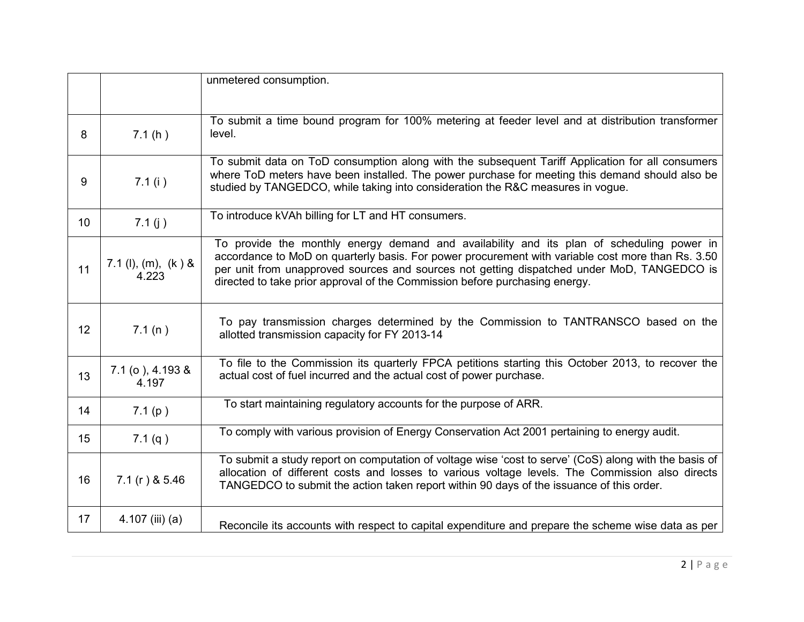|                 |                                | unmetered consumption.                                                                                                                                                                                                                                                                                                                                                      |
|-----------------|--------------------------------|-----------------------------------------------------------------------------------------------------------------------------------------------------------------------------------------------------------------------------------------------------------------------------------------------------------------------------------------------------------------------------|
|                 |                                | To submit a time bound program for 100% metering at feeder level and at distribution transformer                                                                                                                                                                                                                                                                            |
| 8               | 7.1(h)                         | level.                                                                                                                                                                                                                                                                                                                                                                      |
| 9               | 7.1(i)                         | To submit data on ToD consumption along with the subsequent Tariff Application for all consumers<br>where ToD meters have been installed. The power purchase for meeting this demand should also be<br>studied by TANGEDCO, while taking into consideration the R&C measures in vogue.                                                                                      |
| 10 <sup>°</sup> | 7.1 $(j)$                      | To introduce kVAh billing for LT and HT consumers.                                                                                                                                                                                                                                                                                                                          |
| 11              | 7.1 (l), (m), $(k)$ &<br>4.223 | To provide the monthly energy demand and availability and its plan of scheduling power in<br>accordance to MoD on quarterly basis. For power procurement with variable cost more than Rs. 3.50<br>per unit from unapproved sources and sources not getting dispatched under MoD, TANGEDCO is<br>directed to take prior approval of the Commission before purchasing energy. |
| 12 <sup>°</sup> | 7.1(n)                         | To pay transmission charges determined by the Commission to TANTRANSCO based on the<br>allotted transmission capacity for FY 2013-14                                                                                                                                                                                                                                        |
| 13              | 7.1 (o), 4.193 &<br>4.197      | To file to the Commission its quarterly FPCA petitions starting this October 2013, to recover the<br>actual cost of fuel incurred and the actual cost of power purchase.                                                                                                                                                                                                    |
| 14              | 7.1(p)                         | To start maintaining regulatory accounts for the purpose of ARR.                                                                                                                                                                                                                                                                                                            |
| 15              | 7.1(q)                         | To comply with various provision of Energy Conservation Act 2001 pertaining to energy audit.                                                                                                                                                                                                                                                                                |
| 16              | $7.1(r)$ & 5.46                | To submit a study report on computation of voltage wise 'cost to serve' (CoS) along with the basis of<br>allocation of different costs and losses to various voltage levels. The Commission also directs<br>TANGEDCO to submit the action taken report within 90 days of the issuance of this order.                                                                        |
| 17              | $4.107$ (iii) (a)              | Reconcile its accounts with respect to capital expenditure and prepare the scheme wise data as per                                                                                                                                                                                                                                                                          |